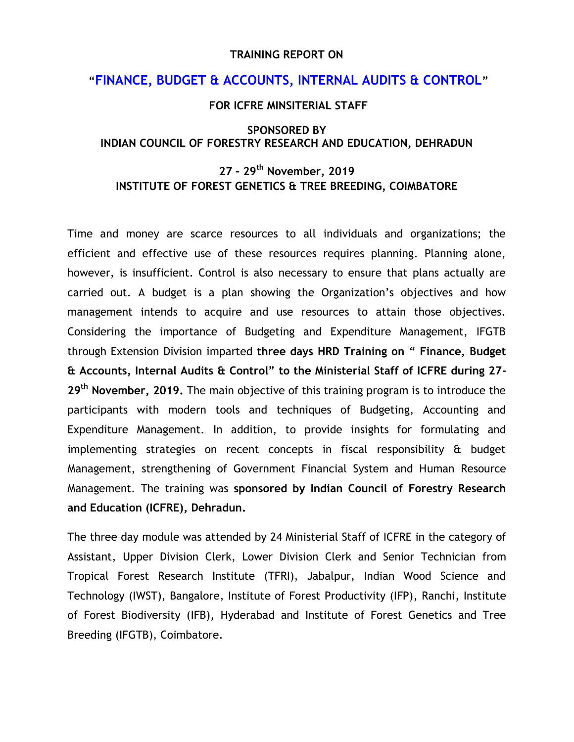#### **TRAINING REPORT ON**

## **"FINANCE, BUDGET & ACCOUNTS, INTERNAL AUDITS & CONTROL"**

### **FOR ICFRE MINSITERIAL STAFF**

### **SPONSORED BY INDIAN COUNCIL OF FORESTRY RESEARCH AND EDUCATION, DEHRADUN**

# **27 – 29th November, 2019 INSTITUTE OF FOREST GENETICS & TREE BREEDING, COIMBATORE**

Time and money are scarce resources to all individuals and organizations; the efficient and effective use of these resources requires planning. Planning alone, however, is insufficient. Control is also necessary to ensure that plans actually are carried out. A budget is a plan showing the Organization's objectives and how management intends to acquire and use resources to attain those objectives. Considering the importance of Budgeting and Expenditure Management, IFGTB through Extension Division imparted **three days HRD Training on " Finance, Budget & Accounts, Internal Audits & Control" to the Ministerial Staff of ICFRE during 27- 29th November, 2019.** The main objective of this training program is to introduce the participants with modern tools and techniques of Budgeting, Accounting and Expenditure Management. In addition, to provide insights for formulating and implementing strategies on recent concepts in fiscal responsibility & budget Management, strengthening of Government Financial System and Human Resource Management. The training was **sponsored by Indian Council of Forestry Research and Education (ICFRE), Dehradun.**

The three day module was attended by 24 Ministerial Staff of ICFRE in the category of Assistant, Upper Division Clerk, Lower Division Clerk and Senior Technician from Tropical Forest Research Institute (TFRI), Jabalpur, Indian Wood Science and Technology (IWST), Bangalore, Institute of Forest Productivity (IFP), Ranchi, Institute of Forest Biodiversity (IFB), Hyderabad and Institute of Forest Genetics and Tree Breeding (IFGTB), Coimbatore.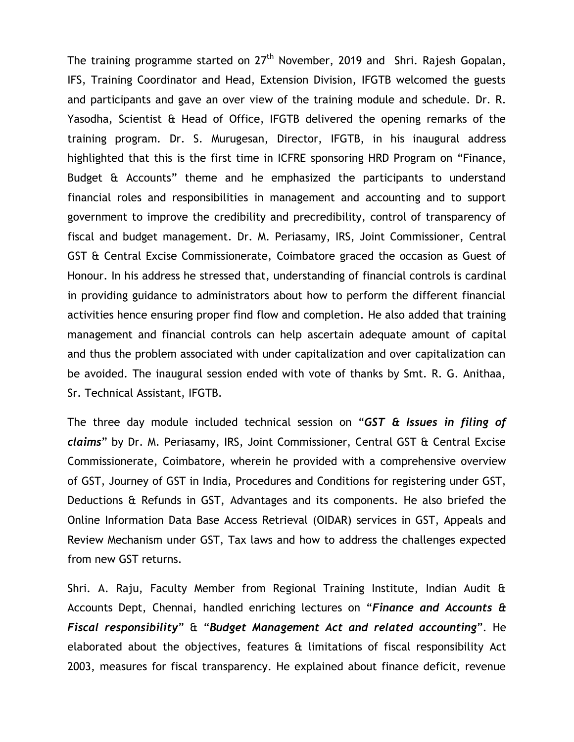The training programme started on 27<sup>th</sup> November, 2019 and Shri. Rajesh Gopalan, IFS, Training Coordinator and Head, Extension Division, IFGTB welcomed the guests and participants and gave an over view of the training module and schedule. Dr. R. Yasodha, Scientist & Head of Office, IFGTB delivered the opening remarks of the training program. Dr. S. Murugesan, Director, IFGTB, in his inaugural address highlighted that this is the first time in ICFRE sponsoring HRD Program on "Finance, Budget & Accounts" theme and he emphasized the participants to understand financial roles and responsibilities in management and accounting and to support government to improve the credibility and precredibility, control of transparency of fiscal and budget management. Dr. M. Periasamy, IRS, Joint Commissioner, Central GST & Central Excise Commissionerate, Coimbatore graced the occasion as Guest of Honour. In his address he stressed that, understanding of financial controls is cardinal in providing guidance to administrators about how to perform the different financial activities hence ensuring proper find flow and completion. He also added that training management and financial controls can help ascertain adequate amount of capital and thus the problem associated with under capitalization and over capitalization can be avoided. The inaugural session ended with vote of thanks by Smt. R. G. Anithaa, Sr. Technical Assistant, IFGTB.

The three day module included technical session on "*GST & Issues in filing of claims*" by Dr. M. Periasamy, IRS, Joint Commissioner, Central GST & Central Excise Commissionerate, Coimbatore, wherein he provided with a comprehensive overview of GST, Journey of GST in India, Procedures and Conditions for registering under GST, Deductions & Refunds in GST, Advantages and its components. He also briefed the Online Information Data Base Access Retrieval (OIDAR) services in GST, Appeals and Review Mechanism under GST, Tax laws and how to address the challenges expected from new GST returns.

Shri. A. Raju, Faculty Member from Regional Training Institute, Indian Audit & Accounts Dept, Chennai, handled enriching lectures on "*Finance and Accounts & Fiscal responsibility*" & "*Budget Management Act and related accounting*". He elaborated about the objectives, features & limitations of fiscal responsibility Act 2003, measures for fiscal transparency. He explained about finance deficit, revenue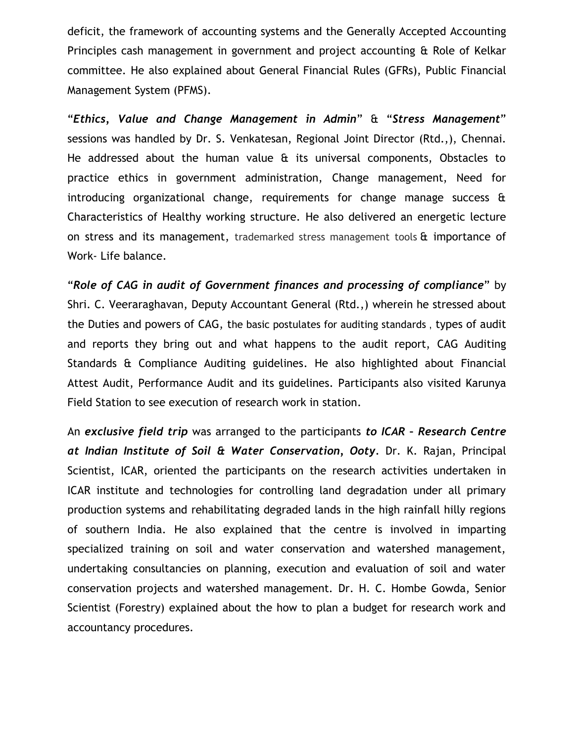deficit, the framework of accounting systems and the Generally Accepted Accounting Principles cash management in government and project accounting & Role of Kelkar committee. He also explained about General Financial Rules (GFRs), Public Financial Management System (PFMS).

"*Ethics, Value and Change Management in Admin*" & "*Stress Management*" sessions was handled by Dr. S. Venkatesan, Regional Joint Director (Rtd.,), Chennai. He addressed about the human value & its universal components, Obstacles to practice ethics in government administration, Change management, Need for introducing organizational change, requirements for change manage success & Characteristics of Healthy working structure. He also delivered an energetic lecture on stress and its management, trademarked stress management tools & importance of Work- Life balance.

"*Role of CAG in audit of Government finances and processing of compliance*" by Shri. C. Veeraraghavan, Deputy Accountant General (Rtd.,) wherein he stressed about the Duties and powers of CAG, the basic postulates for auditing standards , types of audit and reports they bring out and what happens to the audit report, CAG Auditing Standards & Compliance Auditing guidelines. He also highlighted about Financial Attest Audit, Performance Audit and its guidelines. Participants also visited Karunya Field Station to see execution of research work in station.

An *exclusive field trip* was arranged to the participants *to ICAR – Research Centre at Indian Institute of Soil & Water Conservation, Ooty.* Dr. K. Rajan, Principal Scientist, ICAR, oriented the participants on the research activities undertaken in ICAR institute and technologies for controlling land degradation under all primary production systems and rehabilitating degraded lands in the high rainfall hilly regions of southern India. He also explained that the centre is involved in imparting specialized training on soil and water conservation and watershed management, undertaking consultancies on planning, execution and evaluation of soil and water conservation projects and watershed management. Dr. H. C. Hombe Gowda, Senior Scientist (Forestry) explained about the how to plan a budget for research work and accountancy procedures.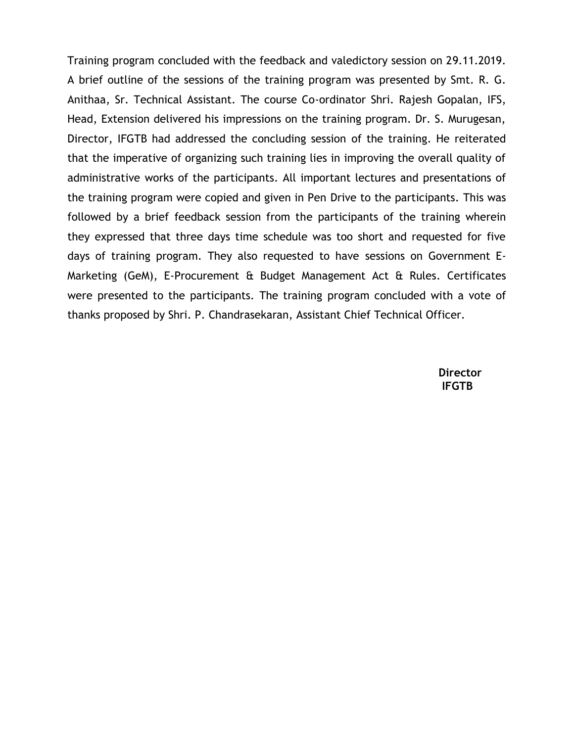Training program concluded with the feedback and valedictory session on 29.11.2019. A brief outline of the sessions of the training program was presented by Smt. R. G. Anithaa, Sr. Technical Assistant. The course Co-ordinator Shri. Rajesh Gopalan, IFS, Head, Extension delivered his impressions on the training program. Dr. S. Murugesan, Director, IFGTB had addressed the concluding session of the training. He reiterated that the imperative of organizing such training lies in improving the overall quality of administrative works of the participants. All important lectures and presentations of the training program were copied and given in Pen Drive to the participants. This was followed by a brief feedback session from the participants of the training wherein they expressed that three days time schedule was too short and requested for five days of training program. They also requested to have sessions on Government E-Marketing (GeM), E-Procurement & Budget Management Act & Rules. Certificates were presented to the participants. The training program concluded with a vote of thanks proposed by Shri. P. Chandrasekaran, Assistant Chief Technical Officer.

> **Director IFGTB**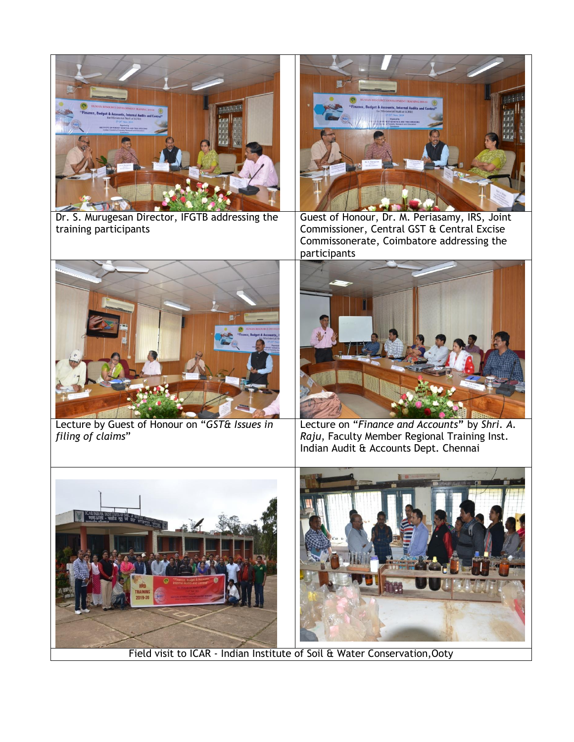

Dr. S. Murugesan Director, IFGTB addressing the training participants



Guest of Honour, Dr. M. Periasamy, IRS, Joint Commissioner, Central GST & Central Excise Commissonerate, Coimbatore addressing the participants



Lecture by Guest of Honour on "*GST& Issues in filing of claims*"



Lecture on "*Finance and Accounts***"** by *Shri. A. Raju*, Faculty Member Regional Training Inst. Indian Audit & Accounts Dept. Chennai





Field visit to ICAR - Indian Institute of Soil & Water Conservation,Ooty